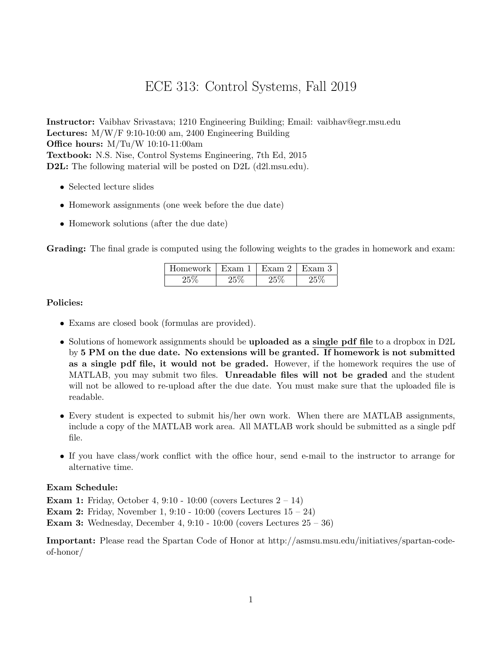## ECE 313: Control Systems, Fall 2019

Instructor: Vaibhav Srivastava; 1210 Engineering Building; Email: vaibhav@egr.msu.edu Lectures: M/W/F 9:10-10:00 am, 2400 Engineering Building Office hours: M/Tu/W 10:10-11:00am Textbook: N.S. Nise, Control Systems Engineering, 7th Ed, 2015 D2L: The following material will be posted on D2L (d2l.msu.edu).

- Selected lecture slides
- Homework assignments (one week before the due date)
- Homework solutions (after the due date)

Grading: The final grade is computed using the following weights to the grades in homework and exam:

| Homework ' | Exam | Exam 2 | Exam 3 |
|------------|------|--------|--------|
|            |      | ᠈      |        |

## Policies:

- Exams are closed book (formulas are provided).
- Solutions of homework assignments should be **uploaded as a single pdf file** to a dropbox in D2L by 5 PM on the due date. No extensions will be granted. If homework is not submitted as a single pdf file, it would not be graded. However, if the homework requires the use of MATLAB, you may submit two files. Unreadable files will not be graded and the student will not be allowed to re-upload after the due date. You must make sure that the uploaded file is readable.
- Every student is expected to submit his/her own work. When there are MATLAB assignments, include a copy of the MATLAB work area. All MATLAB work should be submitted as a single pdf file.
- If you have class/work conflict with the office hour, send e-mail to the instructor to arrange for alternative time.

## Exam Schedule:

**Exam 1:** Friday, October 4,  $9:10 - 10:00$  (covers Lectures  $2 - 14$ )

**Exam 2:** Friday, November 1, 9:10 - 10:00 (covers Lectures  $15 - 24$ )

**Exam 3:** Wednesday, December 4,  $9:10 - 10:00$  (covers Lectures  $25 - 36$ )

Important: Please read the Spartan Code of Honor at http://asmsu.msu.edu/initiatives/spartan-codeof-honor/